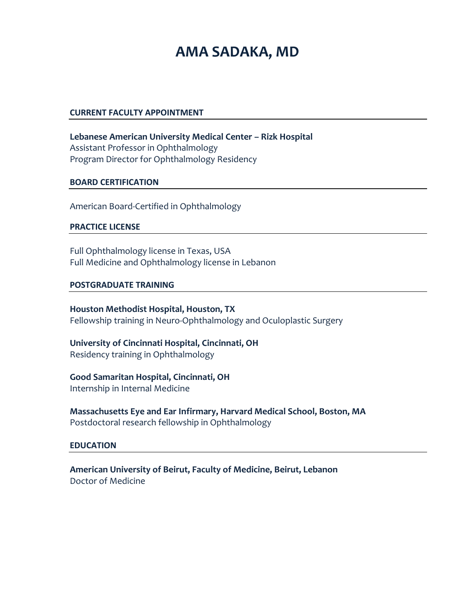# **AMA SADAKA, MD**

#### **CURRENT FACULTY APPOINTMENT**

**Lebanese American University Medical Center – Rizk Hospital** Assistant Professor in Ophthalmology Program Director for Ophthalmology Residency

#### **BOARD CERTIFICATION**

American Board-Certified in Ophthalmology

#### **PRACTICE LICENSE**

Full Ophthalmology license in Texas, USA Full Medicine and Ophthalmology license in Lebanon

#### **POSTGRADUATE TRAINING**

**Houston Methodist Hospital, Houston, TX** Fellowship training in Neuro-Ophthalmology and Oculoplastic Surgery

**University of Cincinnati Hospital, Cincinnati, OH** Residency training in Ophthalmology

## **Good Samaritan Hospital, Cincinnati, OH**

Internship in Internal Medicine

**Massachusetts Eye and Ear Infirmary, Harvard Medical School, Boston, MA** Postdoctoral research fellowship in Ophthalmology

## **EDUCATION**

**American University of Beirut, Faculty of Medicine, Beirut, Lebanon** Doctor of Medicine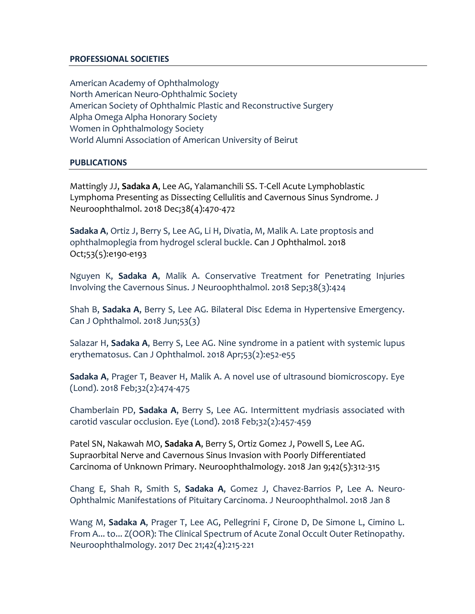## **PROFESSIONAL SOCIETIES**

American Academy of Ophthalmology North American Neuro-Ophthalmic Society American Society of Ophthalmic Plastic and Reconstructive Surgery Alpha Omega Alpha Honorary Society Women in Ophthalmology Society World Alumni Association of American University of Beirut

## **PUBLICATIONS**

Mattingly JJ, **Sadaka A**, Lee AG, Yalamanchili SS. [T-Cell Acute Lymphoblastic](https://www.ncbi.nlm.nih.gov/pubmed/30418330)  [Lymphoma Presenting as Dissecting Cellulitis and Cavernous Sinus Syndrome.](https://www.ncbi.nlm.nih.gov/pubmed/30418330) J Neuroophthalmol. 2018 Dec;38(4):470-472

**Sadaka A**, Ortiz J, Berry S, Lee AG, Li H, Divatia, M, Malik A. Late proptosis and ophthalmoplegia from hydrogel scleral buckle. Can J Ophthalmol. 2018 Oct;53(5):e190-e193

Nguyen K, **Sadaka A**, Malik A. Conservative Treatment for Penetrating Injuries Involving the Cavernous Sinus. J Neuroophthalmol. 2018 Sep;38(3):424

Shah B, **Sadaka A**, Berry S, Lee AG. Bilateral Disc Edema in Hypertensive Emergency. Can J Ophthalmol. 2018 Jun;53(3)

Salazar H, **Sadaka A**, Berry S, Lee AG. Nine syndrome in a patient with systemic lupus erythematosus. Can J Ophthalmol. 2018 Apr;53(2):e52-e55

**Sadaka A**, Prager T, Beaver H, Malik A. A novel use of ultrasound biomicroscopy. Eye (Lond). 2018 Feb;32(2):474-475

Chamberlain PD, **Sadaka A**, Berry S, Lee AG. Intermittent mydriasis associated with carotid vascular occlusion. Eye (Lond). 2018 Feb;32(2):457-459

Patel SN, Nakawah MO, **Sadaka A**, Berry S, Ortiz Gomez J, Powell S, Lee AG. [Supraorbital Nerve and Cavernous Sinus Invasion with Poorly Differentiated](https://www.ncbi.nlm.nih.gov/pubmed/30258480)  [Carcinoma of Unknown Primary.](https://www.ncbi.nlm.nih.gov/pubmed/30258480) Neuroophthalmology. 2018 Jan 9;42(5):312-315

Chang E, Shah R, Smith S, **Sadaka A**, Gomez J, Chavez-Barrios P, Lee A. Neuro-Ophthalmic Manifestations of Pituitary Carcinoma. J Neuroophthalmol. 2018 Jan 8

Wang M, **Sadaka A**, Prager T, Lee AG, Pellegrini F, Cirone D, De Simone L, Cimino L. From A... to... Z(OOR): The Clinical Spectrum of Acute Zonal Occult Outer Retinopathy. Neuroophthalmology. 2017 Dec 21;42(4):215-221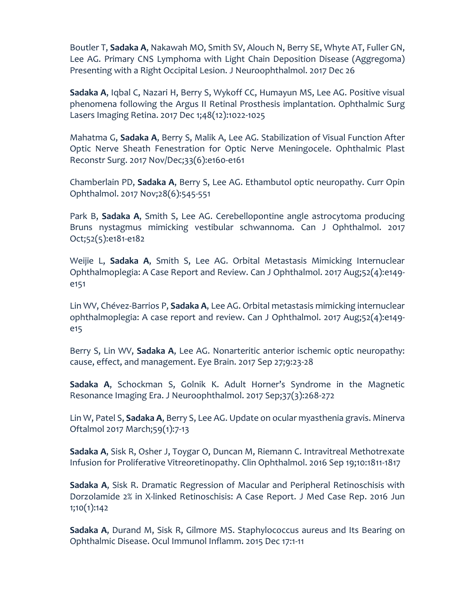Boutler T, **Sadaka A**, Nakawah MO, Smith SV, Alouch N, Berry SE, Whyte AT, Fuller GN, Lee AG. Primary CNS Lymphoma with Light Chain Deposition Disease (Aggregoma) Presenting with a Right Occipital Lesion. J Neuroophthalmol. 2017 Dec 26

**Sadaka A**, Iqbal C, Nazari H, Berry S, Wykoff CC, Humayun MS, Lee AG. Positive visual phenomena following the Argus II Retinal Prosthesis implantation. Ophthalmic Surg Lasers Imaging Retina. 2017 Dec 1;48(12):1022-1025

Mahatma G, **Sadaka A**, Berry S, Malik A, Lee AG. Stabilization of Visual Function After Optic Nerve Sheath Fenestration for Optic Nerve Meningocele. Ophthalmic Plast Reconstr Surg. 2017 Nov/Dec;33(6):e160-e161

Chamberlain PD, **Sadaka A**, Berry S, Lee AG. Ethambutol optic neuropathy. Curr Opin Ophthalmol. 2017 Nov;28(6):545-551

Park B, **Sadaka A**, Smith S, Lee AG. Cerebellopontine angle astrocytoma producing Bruns nystagmus mimicking vestibular schwannoma. Can J Ophthalmol. 2017 Oct;52(5):e181-e182

Weijie L, **Sadaka A**, Smith S, Lee AG. Orbital Metastasis Mimicking Internuclear Ophthalmoplegia: A Case Report and Review. Can J Ophthalmol. 2017 Aug;52(4):e149 e151

Lin WV, Chévez-Barrios P, **Sadaka A**, Lee AG. Orbital metastasis mimicking internuclear ophthalmoplegia: A case report and review. Can J Ophthalmol. 2017 Aug;52(4):e149 e15

Berry S, Lin WV, **Sadaka A**, Lee AG. Nonarteritic anterior ischemic optic neuropathy: cause, effect, and management. Eye Brain. 2017 Sep 27;9:23-28

**Sadaka A**, Schockman S, Golnik K. Adult Horner's Syndrome in the Magnetic Resonance Imaging Era. J Neuroophthalmol. 2017 Sep;37(3):268-272

Lin W, Patel S, **Sadaka A**, Berry S, Lee AG. Update on ocular myasthenia gravis. Minerva Oftalmol 2017 March;59(1):7-13

**Sadaka A**, Sisk R, Osher J, Toygar O, Duncan M, Riemann C. Intravitreal Methotrexate Infusion for Proliferative Vitreoretinopathy. Clin Ophthalmol. 2016 Sep 19;10:1811-1817

**Sadaka A**, Sisk R. Dramatic Regression of Macular and Peripheral Retinoschisis with Dorzolamide 2% in X-linked Retinoschisis: A Case Report. J Med Case Rep. 2016 Jun 1;10(1):142

**Sadaka A**, Durand M, Sisk R, Gilmore MS. Staphylococcus aureus and Its Bearing on Ophthalmic Disease. Ocul Immunol Inflamm. 2015 Dec 17:1-11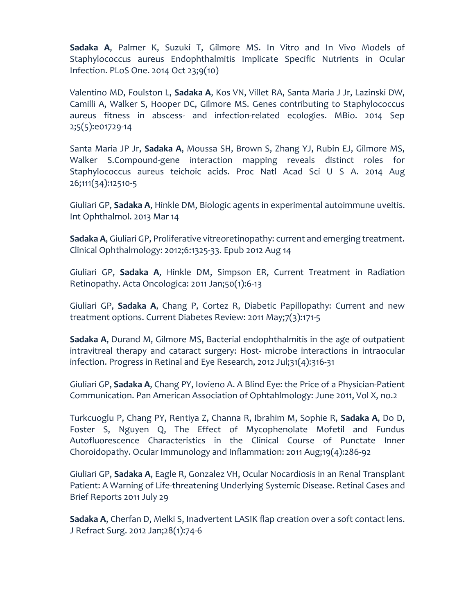**Sadaka A**, Palmer K, Suzuki T, Gilmore MS. In Vitro and In Vivo Models of Staphylococcus aureus Endophthalmitis Implicate Specific Nutrients in Ocular Infection. PLoS One. 2014 Oct 23;9(10)

Valentino MD, Foulston L, **Sadaka A**, Kos VN, Villet RA, Santa Maria J Jr, Lazinski DW, Camilli A, Walker S, Hooper DC, Gilmore MS. Genes contributing to Staphylococcus aureus fitness in abscess- and infection-related ecologies. MBio. 2014 Sep 2;5(5):e01729-14

Santa Maria JP Jr, **Sadaka A**, Moussa SH, Brown S, Zhang YJ, Rubin EJ, Gilmore MS, Walker S.Compound-gene interaction mapping reveals distinct roles for Staphylococcus aureus teichoic acids. Proc Natl Acad Sci U S A. 2014 Aug 26;111(34):12510-5

Giuliari GP, **Sadaka A**, Hinkle DM, Biologic agents in experimental autoimmune uveitis. Int Ophthalmol. 2013 Mar 14

**Sadaka A**, Giuliari GP, Proliferative vitreoretinopathy: current and emerging treatment. Clinical Ophthalmology: 2012;6:1325-33. Epub 2012 Aug 14

Giuliari GP, **Sadaka A**, Hinkle DM, Simpson ER, Current Treatment in Radiation Retinopathy. Acta Oncologica: 2011 Jan;50(1):6-13

Giuliari GP, **Sadaka A**, Chang P, Cortez R, Diabetic Papillopathy: Current and new treatment options. Current Diabetes Review: 2011 May;7(3):171-5

**Sadaka A**, Durand M, Gilmore MS, Bacterial endophthalmitis in the age of outpatient intravitreal therapy and cataract surgery: Host- microbe interactions in intraocular infection. Progress in Retinal and Eye Research, 2012 Jul;31(4):316-31

Giuliari GP, **Sadaka A**, Chang PY, Iovieno A. A Blind Eye: the Price of a Physician-Patient Communication. Pan American Association of Ophtahlmology: June 2011, Vol X, no.2

Turkcuoglu P, Chang PY, Rentiya Z, Channa R, Ibrahim M, Sophie R, **Sadaka A**, Do D, Foster S, Nguyen Q, The Effect of Mycophenolate Mofetil and Fundus Autofluorescence Characteristics in the Clinical Course of Punctate Inner Choroidopathy. Ocular Immunology and Inflammation: 2011 Aug;19(4):286-92

Giuliari GP, **Sadaka A**, Eagle R, Gonzalez VH, Ocular Nocardiosis in an Renal Transplant Patient: A Warning of Life-threatening Underlying Systemic Disease. Retinal Cases and Brief Reports 2011 July 29

**Sadaka A**, Cherfan D, Melki S, Inadvertent LASIK flap creation over a soft contact lens. J Refract Surg. 2012 Jan;28(1):74-6